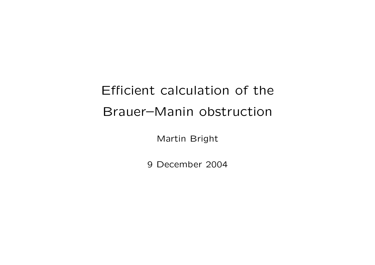## Efficient calculation of the Brauer–Manin obstruction

Martin Bright

9 December 2004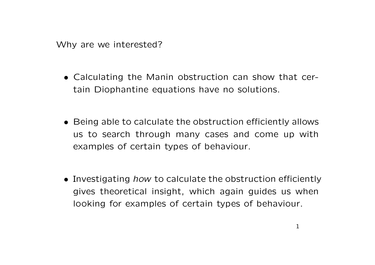Why are we interested?

- Calculating the Manin obstruction can show that certain Diophantine equations have no solutions.
- Being able to calculate the obstruction efficiently allows us to search through many cases and come up with examples of certain types of behaviour.
- Investigating how to calculate the obstruction efficiently gives theoretical insight, which again guides us when looking for examples of certain types of behaviour.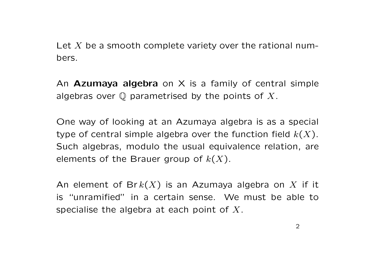Let  $X$  be a smooth complete variety over the rational numbers.

An **Azumaya algebra** on  $X$  is a family of central simple algebras over  $\mathbb Q$  parametrised by the points of X.

One way of looking at an Azumaya algebra is as a special type of central simple algebra over the function field  $k(X)$ . Such algebras, modulo the usual equivalence relation, are elements of the Brauer group of  $k(X)$ .

An element of Br $k(X)$  is an Azumaya algebra on X if it is "unramified" in a certain sense. We must be able to specialise the algebra at each point of  $X$ .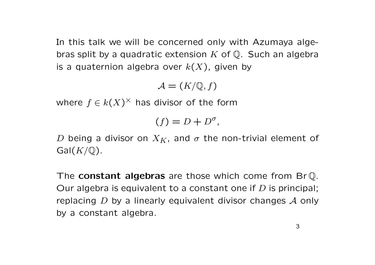In this talk we will be concerned only with Azumaya algebras split by a quadratic extension  $K$  of  $\mathbb Q$ . Such an algebra is a quaternion algebra over  $k(X)$ , given by

 $\mathcal{A} = (K/\mathbb{Q}, f)$ 

where  $f \in k(X)^{\times}$  has divisor of the form

$$
(f) = D + D^{\sigma},
$$

D being a divisor on  $X_K$ , and  $\sigma$  the non-trivial element of  $Gal(K/\mathbb{Q})$ .

The **constant algebras** are those which come from BrQ. Our algebra is equivalent to a constant one if  $D$  is principal; replacing  $D$  by a linearly equivalent divisor changes  $A$  only by a constant algebra.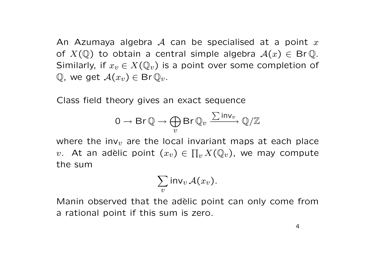An Azumaya algebra A can be specialised at a point  $x$ of  $X(\mathbb{Q})$  to obtain a central simple algebra  $\mathcal{A}(x) \in \mathsf{Br}\mathbb{Q}$ . Similarly, if  $x_v \in X(\mathbb{Q}_v)$  is a point over some completion of  $\mathbb{Q}$ , we get  $\mathcal{A}(x_v) \in \mathsf{Br} \, \mathbb{Q}_v$ .

Class field theory gives an exact sequence

$$
0 \to \text{Br} \, \mathbb{Q} \to \bigoplus_{v} \text{Br} \, \mathbb{Q}_v \xrightarrow{\sum \text{inv}_v} \mathbb{Q}/\mathbb{Z}
$$

where the inv<sub>v</sub> are the local invariant maps at each place v. At an adèlic point  $(x_v) \in \prod_v X({\mathbb Q}_v)$ , we may compute the sum

$$
\sum_{v} \mathsf{inv}_v \, \mathcal{A}(x_v).
$$

Manin observed that the adèlic point can only come from a rational point if this sum is zero.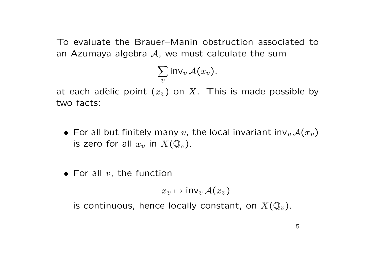To evaluate the Brauer–Manin obstruction associated to an Azumaya algebra  $A$ , we must calculate the sum

$$
\sum_{v} \mathsf{inv}_{v} \mathcal{A}(x_{v}).
$$

at each adèlic point  $(x_v)$  on X. This is made possible by two facts:

- For all but finitely many  $v$ , the local invariant inv $_v A(x_v)$ is zero for all  $x_v$  in  $X(\mathbb{Q}_v)$ .
- For all  $v$ , the function

$$
x_v \mapsto \mathsf{inv}_v \, \mathcal{A}(x_v)
$$

is continuous, hence locally constant, on  $X(\mathbb{Q}_v)$ .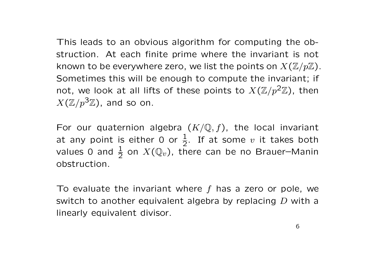This leads to an obvious algorithm for computing the obstruction. At each finite prime where the invariant is not known to be everywhere zero, we list the points on  $X(\mathbb{Z}/p\mathbb{Z})$ . Sometimes this will be enough to compute the invariant; if not, we look at all lifts of these points to  $X(\mathbb{Z}/p^2\mathbb{Z})$ , then  $X(\mathbb{Z}/p^3\mathbb{Z})$ , and so on.

For our quaternion algebra  $(K/\mathbb{Q}, f)$ , the local invariant at any point is either 0 or  $\frac{1}{2}$ . If at some v it takes both values 0 and  $\frac{1}{2}$  on  $X(\mathbb{Q}_v)$ , there can be no Brauer-Manin obstruction.

To evaluate the invariant where  $f$  has a zero or pole, we switch to another equivalent algebra by replacing D with a linearly equivalent divisor.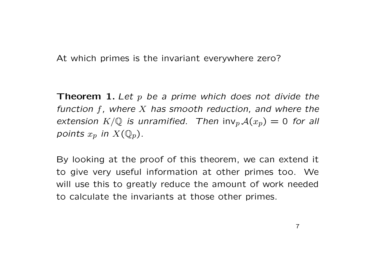At which primes is the invariant everywhere zero?

**Theorem 1.** Let  $p$  be a prime which does not divide the function  $f$ , where  $X$  has smooth reduction, and where the extension  $K/\mathbb{Q}$  is unramified. Then  $\text{inv}_p \mathcal{A}(x_p) = 0$  for all points  $x_p$  in  $X(\mathbb{Q}_p)$ .

By looking at the proof of this theorem, we can extend it to give very useful information at other primes too. We will use this to greatly reduce the amount of work needed to calculate the invariants at those other primes.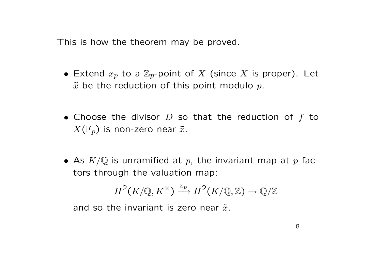This is how the theorem may be proved.

- Extend  $x_p$  to a  $\mathbb{Z}_p$ -point of X (since X is proper). Let  $\tilde{x}$  be the reduction of this point modulo p.
- Choose the divisor  $D$  so that the reduction of  $f$  to  $X(\mathbb{F}_p)$  is non-zero near  $\tilde{x}$ .
- As  $K/\mathbb{Q}$  is unramified at p, the invariant map at p factors through the valuation map:

$$
H^2(K/{\mathbb Q}, K^\times) \xrightarrow{v_p} H^2(K/{\mathbb Q}, {\mathbb Z}) \to {\mathbb Q}/{\mathbb Z}
$$

and so the invariant is zero near  $\tilde{x}$ .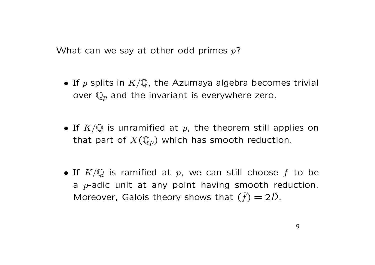What can we say at other odd primes  $p$ ?

- If p splits in  $K/\mathbb{Q}$ , the Azumaya algebra becomes trivial over  $\mathbb{Q}_p$  and the invariant is everywhere zero.
- If  $K/\mathbb{Q}$  is unramified at p, the theorem still applies on that part of  $X(\mathbb{Q}_p)$  which has smooth reduction.
- If  $K/\mathbb{Q}$  is ramified at p, we can still choose f to be a  $p$ -adic unit at any point having smooth reduction. Moreover, Galois theory shows that  $(\tilde{f}) = 2\tilde{D}$ .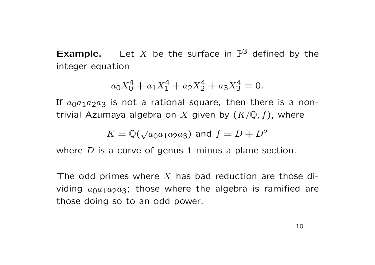**Example.** Let X be the surface in  $\mathbb{P}^3$  defined by the integer equation

$$
a_0 X_0^4 + a_1 X_1^4 + a_2 X_2^4 + a_3 X_3^4 = 0.
$$

If  $a_0a_1a_2a_3$  is not a rational square, then there is a nontrivial Azumaya algebra on X given by  $(K/\mathbb{Q}, f)$ , where

$$
K = \mathbb{Q}(\sqrt{a_0 a_1 a_2 a_3})
$$
 and  $f = D + D^{\sigma}$ 

where  $D$  is a curve of genus 1 minus a plane section.

The odd primes where  $X$  has bad reduction are those dividing  $a_0a_1a_2a_3$ ; those where the algebra is ramified are those doing so to an odd power.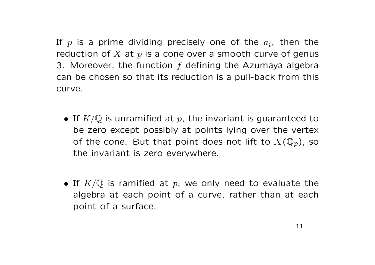If  $p$  is a prime dividing precisely one of the  $a_i$ , then the reduction of  $X$  at  $p$  is a cone over a smooth curve of genus 3. Moreover, the function  $f$  defining the Azumaya algebra can be chosen so that its reduction is a pull-back from this curve.

- If  $K/\mathbb{Q}$  is unramified at p, the invariant is guaranteed to be zero except possibly at points lying over the vertex of the cone. But that point does not lift to  $X(\mathbb{Q}_p)$ , so the invariant is zero everywhere.
- If  $K/\mathbb{Q}$  is ramified at p, we only need to evaluate the algebra at each point of a curve, rather than at each point of a surface.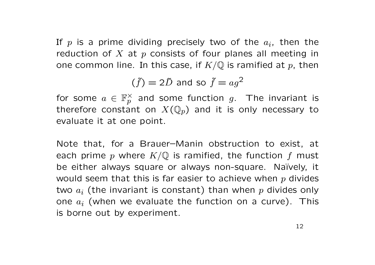If  $p$  is a prime dividing precisely two of the  $a_i$ , then the reduction of X at  $p$  consists of four planes all meeting in one common line. In this case, if  $K/\mathbb{Q}$  is ramified at p, then

$$
(\tilde{f}) = 2\tilde{D} \text{ and so } \tilde{f} = ag^2
$$

for some  $a \in \mathbb{F}_p^\times$  and some function  $g$ . The invariant is therefore constant on  $X(\mathbb{Q}_p)$  and it is only necessary to evaluate it at one point.

Note that, for a Brauer–Manin obstruction to exist, at each prime p where  $K/\mathbb{Q}$  is ramified, the function f must be either always square or always non-square. Naïvely, it would seem that this is far easier to achieve when  $p$  divides two  $a_i$  (the invariant is constant) than when p divides only one  $a_i$  (when we evaluate the function on a curve). This is borne out by experiment.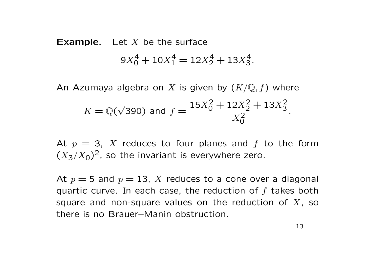## **Example.** Let  $X$  be the surface  $9X_0^4 + 10X_1^4 = 12X_2^4 + 13X_3^4.$

An Azumaya algebra on X is given by  $(K/\mathbb{Q}, f)$  where  $K = \mathbb{Q}(\mathbb{C})$ √ 390) and  $f =$  $15X_0^2 + 12X_2^2 + 13X_3^2$  $\overline{X_0^2}$ .

At  $p = 3$ , X reduces to four planes and f to the form  $(X_3/X_0)^2$ , so the invariant is everywhere zero.

At  $p = 5$  and  $p = 13$ , X reduces to a cone over a diagonal quartic curve. In each case, the reduction of  $f$  takes both square and non-square values on the reduction of  $X$ , so there is no Brauer–Manin obstruction.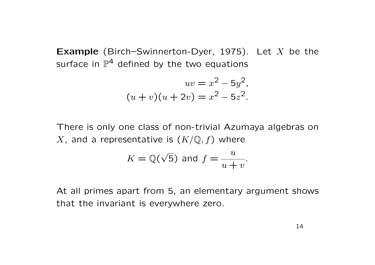**Example** (Birch–Swinnerton-Dyer, 1975). Let  $X$  be the surface in  $\mathbb{P}^4$  defined by the two equations

$$
uv = x2 - 5y2,
$$
  
(u + v)(u + 2v) = x<sup>2</sup> - 5z<sup>2</sup>.

There is only one class of non-trivial Azumaya algebras on X, and a representative is  $(K/\mathbb{Q}, f)$  where

$$
K = \mathbb{Q}(\sqrt{5}) \text{ and } f = \frac{u}{u+v}.
$$

At all primes apart from 5, an elementary argument shows that the invariant is everywhere zero.